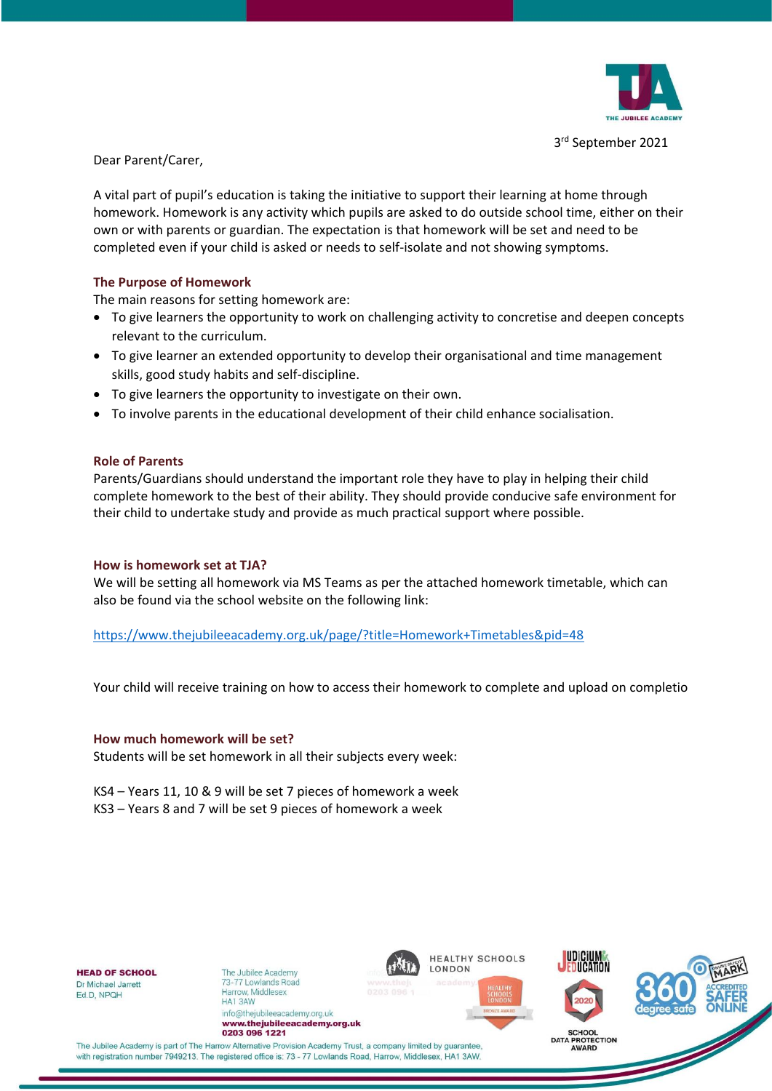

 3 3rd September 2021

Dear Parent/Carer,

A vital part of pupil's education is taking the initiative to support their learning at home through homework. Homework is any activity which pupils are asked to do outside school time, either on their own or with parents or guardian. The expectation is that homework will be set and need to be completed even if your child is asked or needs to self-isolate and not showing symptoms.

# **The Purpose of Homework**

The main reasons for setting homework are:

- To give learners the opportunity to work on challenging activity to concretise and deepen concepts relevant to the curriculum.
- To give learner an extended opportunity to develop their organisational and time management skills, good study habits and self-discipline.
- To give learners the opportunity to investigate on their own.
- To involve parents in the educational development of their child enhance socialisation.

### **Role of Parents**

Parents/Guardians should understand the important role they have to play in helping their child complete homework to the best of their ability. They should provide conducive safe environment for their child to undertake study and provide as much practical support where possible.

## **How is homework set at TJA?**

We will be setting all homework via MS Teams as per the attached homework timetable, which can also be found via the school website on the following link:

<https://www.thejubileeacademy.org.uk/page/?title=Homework+Timetables&pid=48>

Your child will receive training on how to access their homework to complete and upload on completio

#### **How much homework will be set?**

Students will be set homework in all their subjects every week:

KS4 – Years 11, 10 & 9 will be set 7 pieces of homework a week KS3 – Years 8 and 7 will be set 9 pieces of homework a week

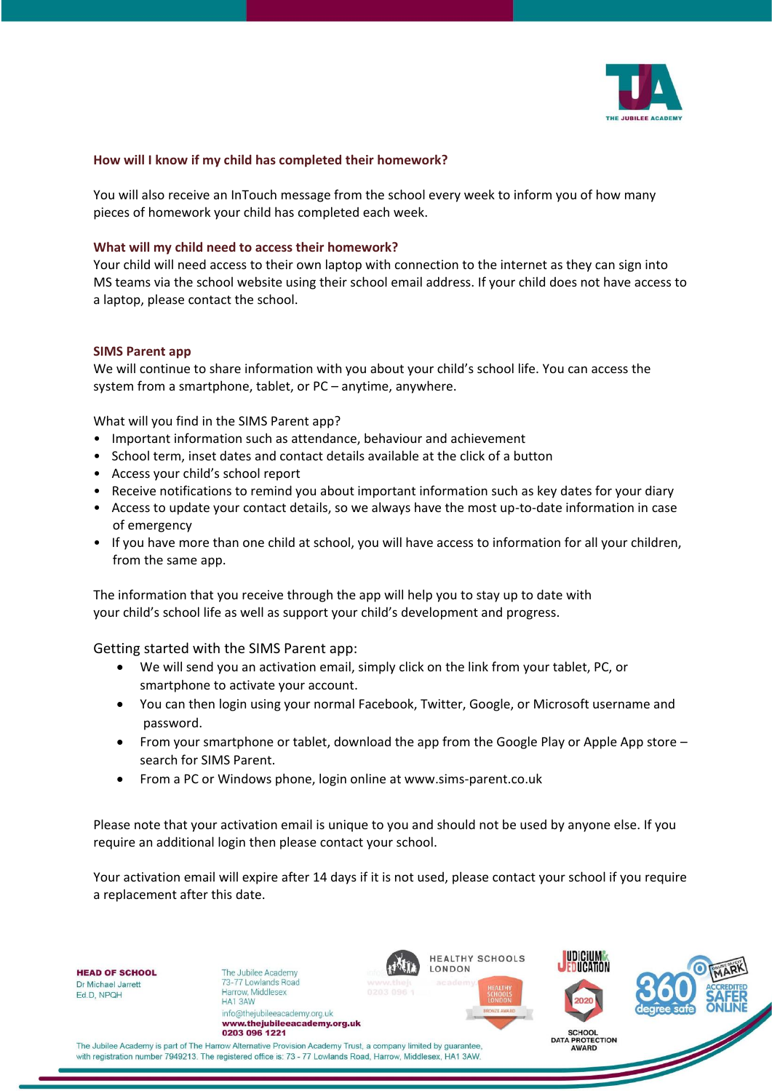

### **How will I know if my child has completed their homework?**

You will also receive an InTouch message from the school every week to inform you of how many pieces of homework your child has completed each week.

### **What will my child need to access their homework?**

Your child will need access to their own laptop with connection to the internet as they can sign into MS teams via the school website using their school email address. If your child does not have access to a laptop, please contact the school.

#### **SIMS Parent app**

We will continue to share information with you about your child's school life. You can access the system from a smartphone, tablet, or PC – anytime, anywhere.

What will you find in the SIMS Parent app?

- Important information such as attendance, behaviour and achievement
- School term, inset dates and contact details available at the click of a button
- Access your child's school report
- Receive notifications to remind you about important information such as key dates for your diary
- Access to update your contact details, so we always have the most up-to-date information in case of emergency
- If you have more than one child at school, you will have access to information for all your children, from the same app.

The information that you receive through the app will help you to stay up to date with your child's school life as well as support your child's development and progress.

Getting started with the SIMS Parent app:

- We will send you an activation email, simply click on the link from your tablet, PC, or smartphone to activate your account.
- You can then login using your normal Facebook, Twitter, Google, or Microsoft username and password.
- From your smartphone or tablet, download the app from the Google Play or Apple App store search for SIMS Parent.
- From a PC or Windows phone, login online at www.sims-parent.co.uk

Please note that your activation email is unique to you and should not be used by anyone else. If you require an additional login then please contact your school.

Your activation email will expire after 14 days if it is not used, please contact your school if you require a replacement after this date.